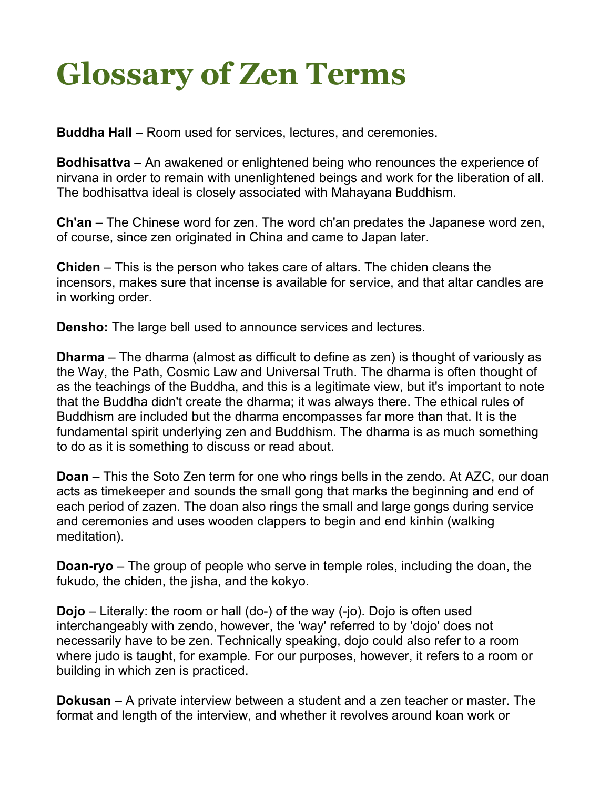## **Glossary of Zen Terms**

**Buddha Hall** – Room used for services, lectures, and ceremonies.

**Bodhisattva** – An awakened or enlightened being who renounces the experience of nirvana in order to remain with unenlightened beings and work for the liberation of all. The bodhisattva ideal is closely associated with Mahayana Buddhism.

**Ch'an** – The Chinese word for zen. The word ch'an predates the Japanese word zen, of course, since zen originated in China and came to Japan later.

**Chiden** – This is the person who takes care of altars. The chiden cleans the incensors, makes sure that incense is available for service, and that altar candles are in working order.

**Densho:** The large bell used to announce services and lectures.

**Dharma** – The dharma (almost as difficult to define as zen) is thought of variously as the Way, the Path, Cosmic Law and Universal Truth. The dharma is often thought of as the teachings of the Buddha, and this is a legitimate view, but it's important to note that the Buddha didn't create the dharma; it was always there. The ethical rules of Buddhism are included but the dharma encompasses far more than that. It is the fundamental spirit underlying zen and Buddhism. The dharma is as much something to do as it is something to discuss or read about.

**Doan** – This the Soto Zen term for one who rings bells in the zendo. At AZC, our doan acts as timekeeper and sounds the small gong that marks the beginning and end of each period of zazen. The doan also rings the small and large gongs during service and ceremonies and uses wooden clappers to begin and end kinhin (walking meditation).

**Doan-ryo** – The group of people who serve in temple roles, including the doan, the fukudo, the chiden, the jisha, and the kokyo.

**Dojo** – Literally: the room or hall (do-) of the way (-jo). Dojo is often used interchangeably with zendo, however, the 'way' referred to by 'dojo' does not necessarily have to be zen. Technically speaking, dojo could also refer to a room where judo is taught, for example. For our purposes, however, it refers to a room or building in which zen is practiced.

**Dokusan** – A private interview between a student and a zen teacher or master. The format and length of the interview, and whether it revolves around koan work or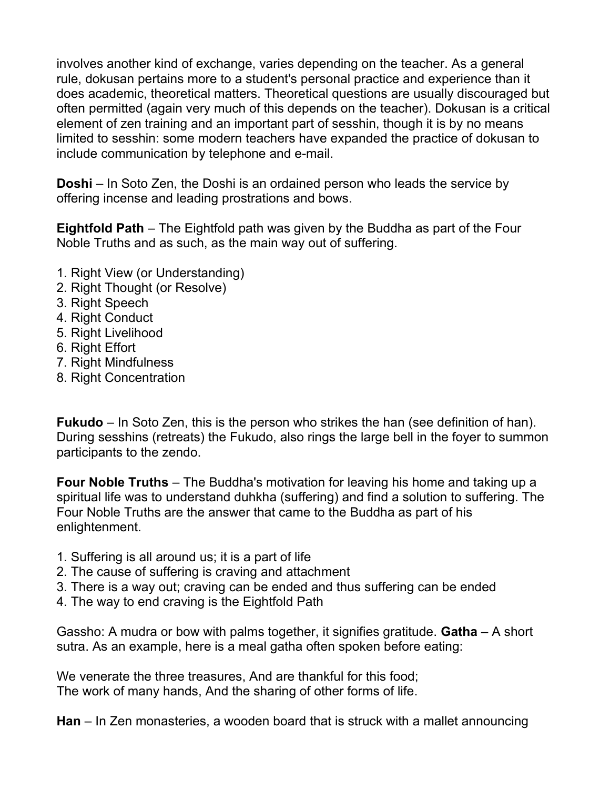involves another kind of exchange, varies depending on the teacher. As a general rule, dokusan pertains more to a student's personal practice and experience than it does academic, theoretical matters. Theoretical questions are usually discouraged but often permitted (again very much of this depends on the teacher). Dokusan is a critical element of zen training and an important part of sesshin, though it is by no means limited to sesshin: some modern teachers have expanded the practice of dokusan to include communication by telephone and e-mail.

**Doshi** – In Soto Zen, the Doshi is an ordained person who leads the service by offering incense and leading prostrations and bows.

**Eightfold Path** – The Eightfold path was given by the Buddha as part of the Four Noble Truths and as such, as the main way out of suffering.

- 1. Right View (or Understanding)
- 2. Right Thought (or Resolve)
- 3. Right Speech
- 4. Right Conduct
- 5. Right Livelihood
- 6. Right Effort
- 7. Right Mindfulness
- 8. Right Concentration

**Fukudo** – In Soto Zen, this is the person who strikes the han (see definition of han). During sesshins (retreats) the Fukudo, also rings the large bell in the foyer to summon participants to the zendo.

**Four Noble Truths** – The Buddha's motivation for leaving his home and taking up a spiritual life was to understand duhkha (suffering) and find a solution to suffering. The Four Noble Truths are the answer that came to the Buddha as part of his enlightenment.

- 1. Suffering is all around us; it is a part of life
- 2. The cause of suffering is craving and attachment
- 3. There is a way out; craving can be ended and thus suffering can be ended
- 4. The way to end craving is the Eightfold Path

Gassho: A mudra or bow with palms together, it signifies gratitude. **Gatha** – A short sutra. As an example, here is a meal gatha often spoken before eating:

We venerate the three treasures, And are thankful for this food; The work of many hands, And the sharing of other forms of life.

**Han** – In Zen monasteries, a wooden board that is struck with a mallet announcing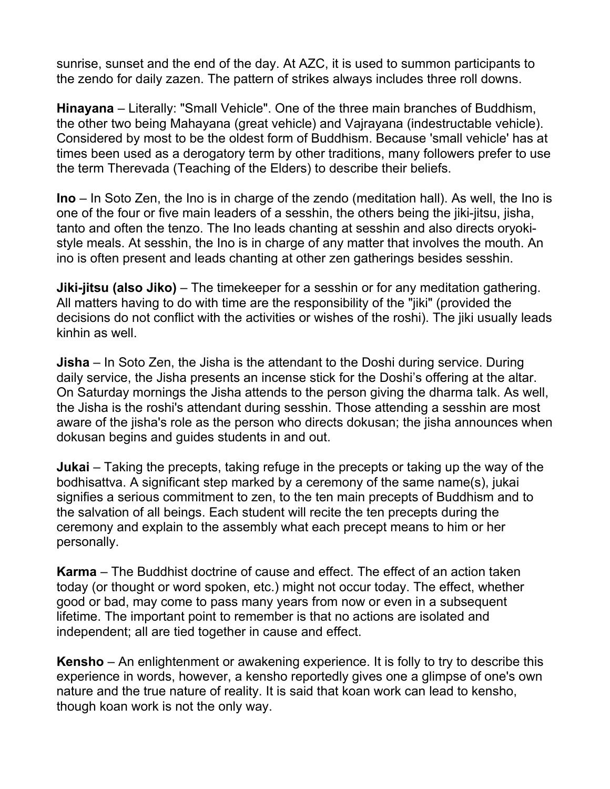sunrise, sunset and the end of the day. At AZC, it is used to summon participants to the zendo for daily zazen. The pattern of strikes always includes three roll downs.

**Hinayana** – Literally: "Small Vehicle". One of the three main branches of Buddhism, the other two being Mahayana (great vehicle) and Vajrayana (indestructable vehicle). Considered by most to be the oldest form of Buddhism. Because 'small vehicle' has at times been used as a derogatory term by other traditions, many followers prefer to use the term Therevada (Teaching of the Elders) to describe their beliefs.

**Ino** – In Soto Zen, the Ino is in charge of the zendo (meditation hall). As well, the Ino is one of the four or five main leaders of a sesshin, the others being the jiki-jitsu, jisha, tanto and often the tenzo. The Ino leads chanting at sesshin and also directs oryokistyle meals. At sesshin, the Ino is in charge of any matter that involves the mouth. An ino is often present and leads chanting at other zen gatherings besides sesshin.

**Jiki-jitsu (also Jiko)** – The timekeeper for a sesshin or for any meditation gathering. All matters having to do with time are the responsibility of the "jiki" (provided the decisions do not conflict with the activities or wishes of the roshi). The jiki usually leads kinhin as well.

**Jisha** – In Soto Zen, the Jisha is the attendant to the Doshi during service. During daily service, the Jisha presents an incense stick for the Doshi's offering at the altar. On Saturday mornings the Jisha attends to the person giving the dharma talk. As well, the Jisha is the roshi's attendant during sesshin. Those attending a sesshin are most aware of the jisha's role as the person who directs dokusan; the jisha announces when dokusan begins and guides students in and out.

**Jukai** – Taking the precepts, taking refuge in the precepts or taking up the way of the bodhisattva. A significant step marked by a ceremony of the same name(s), jukai signifies a serious commitment to zen, to the ten main precepts of Buddhism and to the salvation of all beings. Each student will recite the ten precepts during the ceremony and explain to the assembly what each precept means to him or her personally.

**Karma** – The Buddhist doctrine of cause and effect. The effect of an action taken today (or thought or word spoken, etc.) might not occur today. The effect, whether good or bad, may come to pass many years from now or even in a subsequent lifetime. The important point to remember is that no actions are isolated and independent; all are tied together in cause and effect.

**Kensho** – An enlightenment or awakening experience. It is folly to try to describe this experience in words, however, a kensho reportedly gives one a glimpse of one's own nature and the true nature of reality. It is said that koan work can lead to kensho, though koan work is not the only way.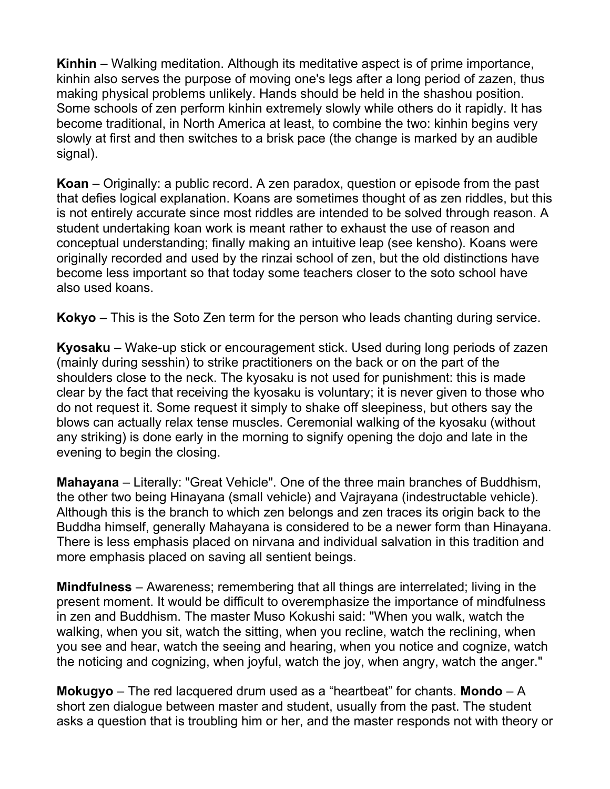**Kinhin** – Walking meditation. Although its meditative aspect is of prime importance, kinhin also serves the purpose of moving one's legs after a long period of zazen, thus making physical problems unlikely. Hands should be held in the shashou position. Some schools of zen perform kinhin extremely slowly while others do it rapidly. It has become traditional, in North America at least, to combine the two: kinhin begins very slowly at first and then switches to a brisk pace (the change is marked by an audible signal).

**Koan** – Originally: a public record. A zen paradox, question or episode from the past that defies logical explanation. Koans are sometimes thought of as zen riddles, but this is not entirely accurate since most riddles are intended to be solved through reason. A student undertaking koan work is meant rather to exhaust the use of reason and conceptual understanding; finally making an intuitive leap (see kensho). Koans were originally recorded and used by the rinzai school of zen, but the old distinctions have become less important so that today some teachers closer to the soto school have also used koans.

**Kokyo** – This is the Soto Zen term for the person who leads chanting during service.

**Kyosaku** – Wake-up stick or encouragement stick. Used during long periods of zazen (mainly during sesshin) to strike practitioners on the back or on the part of the shoulders close to the neck. The kyosaku is not used for punishment: this is made clear by the fact that receiving the kyosaku is voluntary; it is never given to those who do not request it. Some request it simply to shake off sleepiness, but others say the blows can actually relax tense muscles. Ceremonial walking of the kyosaku (without any striking) is done early in the morning to signify opening the dojo and late in the evening to begin the closing.

**Mahayana** – Literally: "Great Vehicle". One of the three main branches of Buddhism, the other two being Hinayana (small vehicle) and Vajrayana (indestructable vehicle). Although this is the branch to which zen belongs and zen traces its origin back to the Buddha himself, generally Mahayana is considered to be a newer form than Hinayana. There is less emphasis placed on nirvana and individual salvation in this tradition and more emphasis placed on saving all sentient beings.

**Mindfulness** – Awareness; remembering that all things are interrelated; living in the present moment. It would be difficult to overemphasize the importance of mindfulness in zen and Buddhism. The master Muso Kokushi said: "When you walk, watch the walking, when you sit, watch the sitting, when you recline, watch the reclining, when you see and hear, watch the seeing and hearing, when you notice and cognize, watch the noticing and cognizing, when joyful, watch the joy, when angry, watch the anger."

**Mokugyo** – The red lacquered drum used as a "heartbeat" for chants. **Mondo** – A short zen dialogue between master and student, usually from the past. The student asks a question that is troubling him or her, and the master responds not with theory or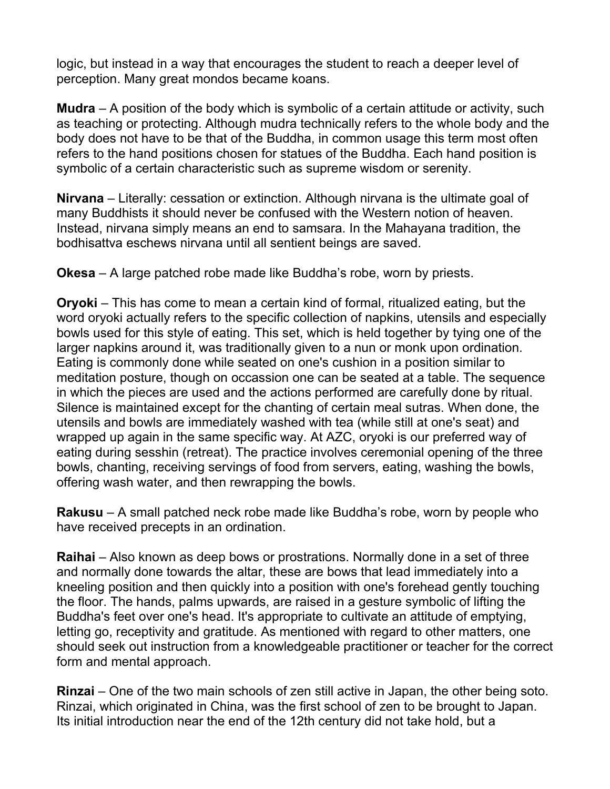logic, but instead in a way that encourages the student to reach a deeper level of perception. Many great mondos became koans.

**Mudra** – A position of the body which is symbolic of a certain attitude or activity, such as teaching or protecting. Although mudra technically refers to the whole body and the body does not have to be that of the Buddha, in common usage this term most often refers to the hand positions chosen for statues of the Buddha. Each hand position is symbolic of a certain characteristic such as supreme wisdom or serenity.

**Nirvana** – Literally: cessation or extinction. Although nirvana is the ultimate goal of many Buddhists it should never be confused with the Western notion of heaven. Instead, nirvana simply means an end to samsara. In the Mahayana tradition, the bodhisattva eschews nirvana until all sentient beings are saved.

**Okesa** – A large patched robe made like Buddha's robe, worn by priests.

**Oryoki** – This has come to mean a certain kind of formal, ritualized eating, but the word oryoki actually refers to the specific collection of napkins, utensils and especially bowls used for this style of eating. This set, which is held together by tying one of the larger napkins around it, was traditionally given to a nun or monk upon ordination. Eating is commonly done while seated on one's cushion in a position similar to meditation posture, though on occassion one can be seated at a table. The sequence in which the pieces are used and the actions performed are carefully done by ritual. Silence is maintained except for the chanting of certain meal sutras. When done, the utensils and bowls are immediately washed with tea (while still at one's seat) and wrapped up again in the same specific way. At AZC, oryoki is our preferred way of eating during sesshin (retreat). The practice involves ceremonial opening of the three bowls, chanting, receiving servings of food from servers, eating, washing the bowls, offering wash water, and then rewrapping the bowls.

**Rakusu** – A small patched neck robe made like Buddha's robe, worn by people who have received precepts in an ordination.

**Raihai** – Also known as deep bows or prostrations. Normally done in a set of three and normally done towards the altar, these are bows that lead immediately into a kneeling position and then quickly into a position with one's forehead gently touching the floor. The hands, palms upwards, are raised in a gesture symbolic of lifting the Buddha's feet over one's head. It's appropriate to cultivate an attitude of emptying, letting go, receptivity and gratitude. As mentioned with regard to other matters, one should seek out instruction from a knowledgeable practitioner or teacher for the correct form and mental approach.

**Rinzai** – One of the two main schools of zen still active in Japan, the other being soto. Rinzai, which originated in China, was the first school of zen to be brought to Japan. Its initial introduction near the end of the 12th century did not take hold, but a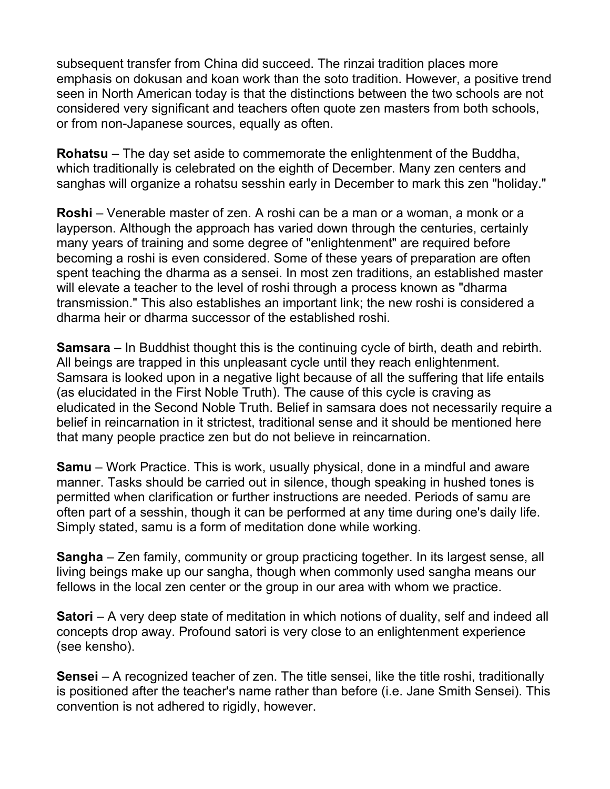subsequent transfer from China did succeed. The rinzai tradition places more emphasis on dokusan and koan work than the soto tradition. However, a positive trend seen in North American today is that the distinctions between the two schools are not considered very significant and teachers often quote zen masters from both schools, or from non-Japanese sources, equally as often.

**Rohatsu** – The day set aside to commemorate the enlightenment of the Buddha, which traditionally is celebrated on the eighth of December. Many zen centers and sanghas will organize a rohatsu sesshin early in December to mark this zen "holiday."

**Roshi** – Venerable master of zen. A roshi can be a man or a woman, a monk or a layperson. Although the approach has varied down through the centuries, certainly many years of training and some degree of "enlightenment" are required before becoming a roshi is even considered. Some of these years of preparation are often spent teaching the dharma as a sensei. In most zen traditions, an established master will elevate a teacher to the level of roshi through a process known as "dharma transmission." This also establishes an important link; the new roshi is considered a dharma heir or dharma successor of the established roshi.

**Samsara** – In Buddhist thought this is the continuing cycle of birth, death and rebirth. All beings are trapped in this unpleasant cycle until they reach enlightenment. Samsara is looked upon in a negative light because of all the suffering that life entails (as elucidated in the First Noble Truth). The cause of this cycle is craving as eludicated in the Second Noble Truth. Belief in samsara does not necessarily require a belief in reincarnation in it strictest, traditional sense and it should be mentioned here that many people practice zen but do not believe in reincarnation.

**Samu** – Work Practice. This is work, usually physical, done in a mindful and aware manner. Tasks should be carried out in silence, though speaking in hushed tones is permitted when clarification or further instructions are needed. Periods of samu are often part of a sesshin, though it can be performed at any time during one's daily life. Simply stated, samu is a form of meditation done while working.

**Sangha** – Zen family, community or group practicing together. In its largest sense, all living beings make up our sangha, though when commonly used sangha means our fellows in the local zen center or the group in our area with whom we practice.

**Satori** – A very deep state of meditation in which notions of duality, self and indeed all concepts drop away. Profound satori is very close to an enlightenment experience (see kensho).

**Sensei** – A recognized teacher of zen. The title sensei, like the title roshi, traditionally is positioned after the teacher's name rather than before (i.e. Jane Smith Sensei). This convention is not adhered to rigidly, however.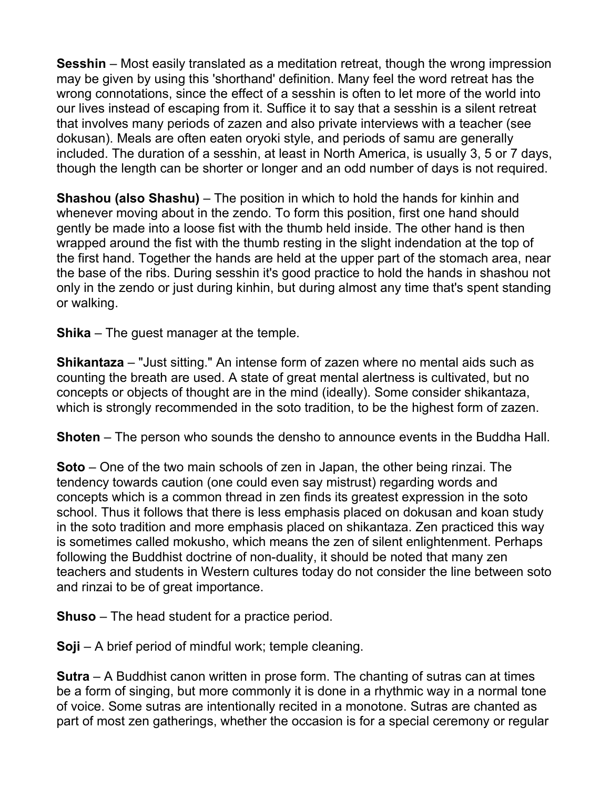**Sesshin** – Most easily translated as a meditation retreat, though the wrong impression may be given by using this 'shorthand' definition. Many feel the word retreat has the wrong connotations, since the effect of a sesshin is often to let more of the world into our lives instead of escaping from it. Suffice it to say that a sesshin is a silent retreat that involves many periods of zazen and also private interviews with a teacher (see dokusan). Meals are often eaten oryoki style, and periods of samu are generally included. The duration of a sesshin, at least in North America, is usually 3, 5 or 7 days, though the length can be shorter or longer and an odd number of days is not required.

**Shashou (also Shashu)** – The position in which to hold the hands for kinhin and whenever moving about in the zendo. To form this position, first one hand should gently be made into a loose fist with the thumb held inside. The other hand is then wrapped around the fist with the thumb resting in the slight indendation at the top of the first hand. Together the hands are held at the upper part of the stomach area, near the base of the ribs. During sesshin it's good practice to hold the hands in shashou not only in the zendo or just during kinhin, but during almost any time that's spent standing or walking.

**Shika** – The guest manager at the temple.

**Shikantaza** – "Just sitting." An intense form of zazen where no mental aids such as counting the breath are used. A state of great mental alertness is cultivated, but no concepts or objects of thought are in the mind (ideally). Some consider shikantaza, which is strongly recommended in the soto tradition, to be the highest form of zazen.

**Shoten** – The person who sounds the densho to announce events in the Buddha Hall.

**Soto** – One of the two main schools of zen in Japan, the other being rinzai. The tendency towards caution (one could even say mistrust) regarding words and concepts which is a common thread in zen finds its greatest expression in the soto school. Thus it follows that there is less emphasis placed on dokusan and koan study in the soto tradition and more emphasis placed on shikantaza. Zen practiced this way is sometimes called mokusho, which means the zen of silent enlightenment. Perhaps following the Buddhist doctrine of non-duality, it should be noted that many zen teachers and students in Western cultures today do not consider the line between soto and rinzai to be of great importance.

**Shuso** – The head student for a practice period.

**Soji** – A brief period of mindful work; temple cleaning.

**Sutra** – A Buddhist canon written in prose form. The chanting of sutras can at times be a form of singing, but more commonly it is done in a rhythmic way in a normal tone of voice. Some sutras are intentionally recited in a monotone. Sutras are chanted as part of most zen gatherings, whether the occasion is for a special ceremony or regular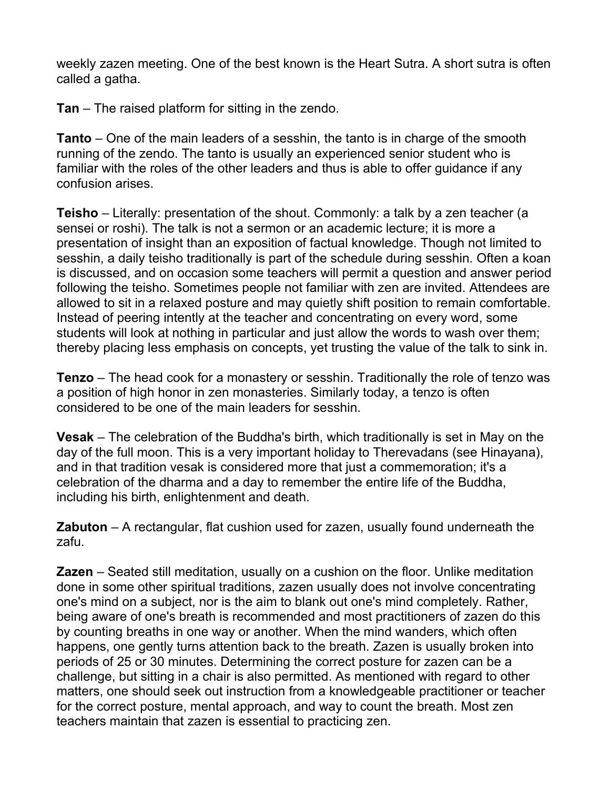weekly zazen meeting. One of the best known is the Heart Sutra. A short sutra is often called a gatha.

**Tan** – The raised platform for sitting in the zendo.

**Tanto** – One of the main leaders of a sesshin, the tanto is in charge of the smooth running of the zendo. The tanto is usually an experienced senior student who is familiar with the roles of the other leaders and thus is able to offer guidance if any confusion arises.

**Teisho** – Literally: presentation of the shout. Commonly: a talk by a zen teacher (a sensei or roshi). The talk is not a sermon or an academic lecture; it is more a presentation of insight than an exposition of factual knowledge. Though not limited to sesshin, a daily teisho traditionally is part of the schedule during sesshin. Often a koan is discussed, and on occasion some teachers will permit a question and answer period following the teisho. Sometimes people not familiar with zen are invited. Attendees are allowed to sit in a relaxed posture and may quietly shift position to remain comfortable. Instead of peering intently at the teacher and concentrating on every word, some students will look at nothing in particular and just allow the words to wash over them; thereby placing less emphasis on concepts, yet trusting the value of the talk to sink in.

**Tenzo** – The head cook for a monastery or sesshin. Traditionally the role of tenzo was a position of high honor in zen monasteries. Similarly today, a tenzo is often considered to be one of the main leaders for sesshin.

**Vesak** – The celebration of the Buddha's birth, which traditionally is set in May on the day of the full moon. This is a very important holiday to Therevadans (see Hinayana), and in that tradition vesak is considered more that just a commemoration; it's a celebration of the dharma and a day to remember the entire life of the Buddha, including his birth, enlightenment and death.

**Zabuton** – A rectangular, flat cushion used for zazen, usually found underneath the zafu.

**Zazen** – Seated still meditation, usually on a cushion on the floor. Unlike meditation done in some other spiritual traditions, zazen usually does not involve concentrating one's mind on a subject, nor is the aim to blank out one's mind completely. Rather, being aware of one's breath is recommended and most practitioners of zazen do this by counting breaths in one way or another. When the mind wanders, which often happens, one gently turns attention back to the breath. Zazen is usually broken into periods of 25 or 30 minutes. Determining the correct posture for zazen can be a challenge, but sitting in a chair is also permitted. As mentioned with regard to other matters, one should seek out instruction from a knowledgeable practitioner or teacher for the correct posture, mental approach, and way to count the breath. Most zen teachers maintain that zazen is essential to practicing zen.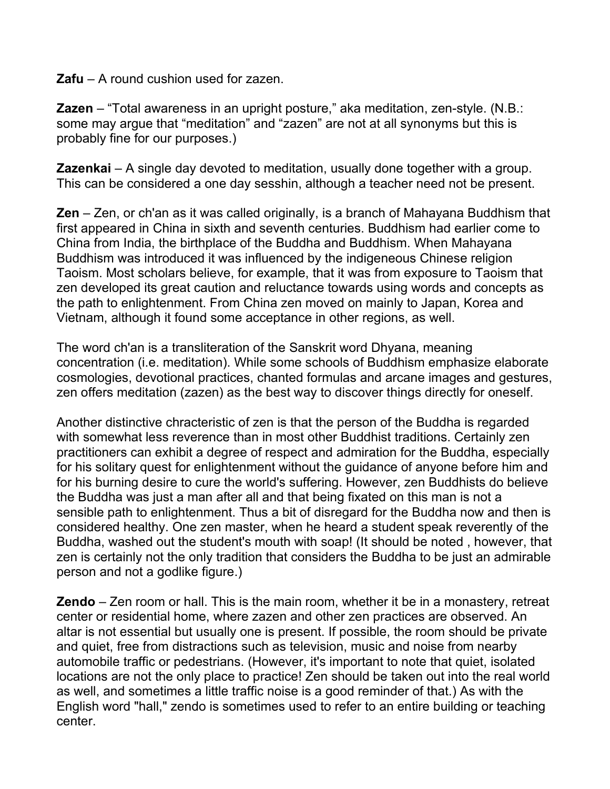**Zafu** – A round cushion used for zazen.

**Zazen** – "Total awareness in an upright posture," aka meditation, zen-style. (N.B.: some may argue that "meditation" and "zazen" are not at all synonyms but this is probably fine for our purposes.)

**Zazenkai** – A single day devoted to meditation, usually done together with a group. This can be considered a one day sesshin, although a teacher need not be present.

**Zen** – Zen, or ch'an as it was called originally, is a branch of Mahayana Buddhism that first appeared in China in sixth and seventh centuries. Buddhism had earlier come to China from India, the birthplace of the Buddha and Buddhism. When Mahayana Buddhism was introduced it was influenced by the indigeneous Chinese religion Taoism. Most scholars believe, for example, that it was from exposure to Taoism that zen developed its great caution and reluctance towards using words and concepts as the path to enlightenment. From China zen moved on mainly to Japan, Korea and Vietnam, although it found some acceptance in other regions, as well.

The word ch'an is a transliteration of the Sanskrit word Dhyana, meaning concentration (i.e. meditation). While some schools of Buddhism emphasize elaborate cosmologies, devotional practices, chanted formulas and arcane images and gestures, zen offers meditation (zazen) as the best way to discover things directly for oneself.

Another distinctive chracteristic of zen is that the person of the Buddha is regarded with somewhat less reverence than in most other Buddhist traditions. Certainly zen practitioners can exhibit a degree of respect and admiration for the Buddha, especially for his solitary quest for enlightenment without the guidance of anyone before him and for his burning desire to cure the world's suffering. However, zen Buddhists do believe the Buddha was just a man after all and that being fixated on this man is not a sensible path to enlightenment. Thus a bit of disregard for the Buddha now and then is considered healthy. One zen master, when he heard a student speak reverently of the Buddha, washed out the student's mouth with soap! (It should be noted , however, that zen is certainly not the only tradition that considers the Buddha to be just an admirable person and not a godlike figure.)

**Zendo** – Zen room or hall. This is the main room, whether it be in a monastery, retreat center or residential home, where zazen and other zen practices are observed. An altar is not essential but usually one is present. If possible, the room should be private and quiet, free from distractions such as television, music and noise from nearby automobile traffic or pedestrians. (However, it's important to note that quiet, isolated locations are not the only place to practice! Zen should be taken out into the real world as well, and sometimes a little traffic noise is a good reminder of that.) As with the English word "hall," zendo is sometimes used to refer to an entire building or teaching center.